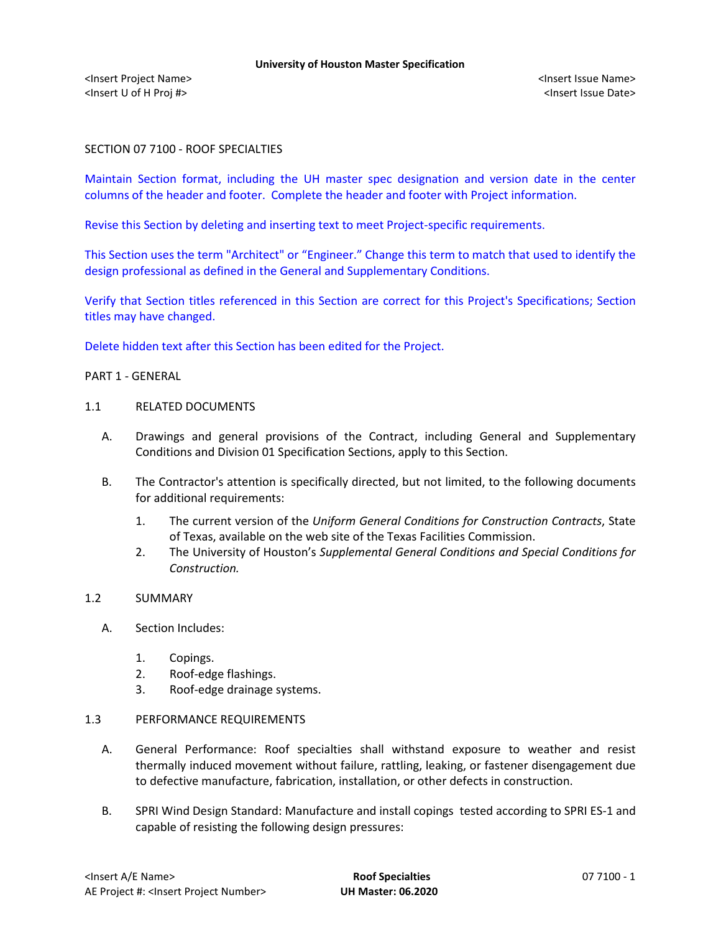# SECTION 07 7100 - ROOF SPECIALTIES

Maintain Section format, including the UH master spec designation and version date in the center columns of the header and footer. Complete the header and footer with Project information.

Revise this Section by deleting and inserting text to meet Project-specific requirements.

This Section uses the term "Architect" or "Engineer." Change this term to match that used to identify the design professional as defined in the General and Supplementary Conditions.

Verify that Section titles referenced in this Section are correct for this Project's Specifications; Section titles may have changed.

Delete hidden text after this Section has been edited for the Project.

#### PART 1 - GENERAL

#### 1.1 RELATED DOCUMENTS

- A. Drawings and general provisions of the Contract, including General and Supplementary Conditions and Division 01 Specification Sections, apply to this Section.
- B. The Contractor's attention is specifically directed, but not limited, to the following documents for additional requirements:
	- 1. The current version of the *Uniform General Conditions for Construction Contracts*, State of Texas, available on the web site of the Texas Facilities Commission.
	- 2. The University of Houston's *Supplemental General Conditions and Special Conditions for Construction.*

# 1.2 SUMMARY

- A. Section Includes:
	- 1. Copings.
	- 2. Roof-edge flashings.
	- 3. Roof-edge drainage systems.

## 1.3 PERFORMANCE REQUIREMENTS

- A. General Performance: Roof specialties shall withstand exposure to weather and resist thermally induced movement without failure, rattling, leaking, or fastener disengagement due to defective manufacture, fabrication, installation, or other defects in construction.
- B. SPRI Wind Design Standard: Manufacture and install copings tested according to SPRI ES-1 and capable of resisting the following design pressures: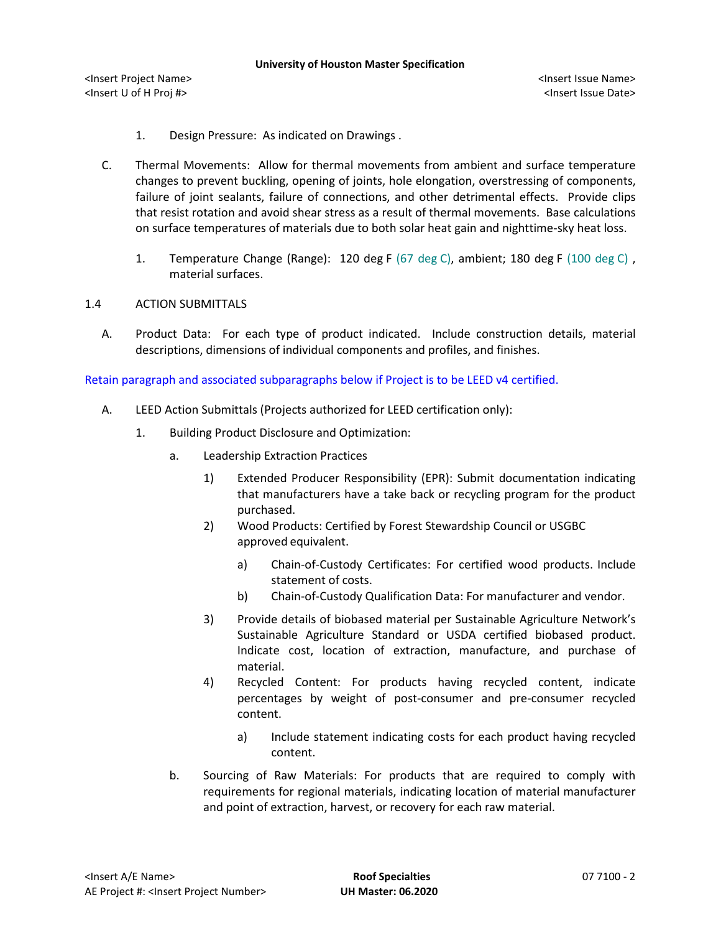- 1. Design Pressure: As indicated on Drawings .
- C. Thermal Movements: Allow for thermal movements from ambient and surface temperature changes to prevent buckling, opening of joints, hole elongation, overstressing of components, failure of joint sealants, failure of connections, and other detrimental effects. Provide clips that resist rotation and avoid shear stress as a result of thermal movements. Base calculations on surface temperatures of materials due to both solar heat gain and nighttime-sky heat loss.
	- 1. Temperature Change (Range): 120 deg F (67 deg C), ambient; 180 deg F (100 deg C) , material surfaces.

# 1.4 ACTION SUBMITTALS

A. Product Data: For each type of product indicated. Include construction details, material descriptions, dimensions of individual components and profiles, and finishes.

## Retain paragraph and associated subparagraphs below if Project is to be LEED v4 certified.

- A. LEED Action Submittals (Projects authorized for LEED certification only):
	- 1. Building Product Disclosure and Optimization:
		- a. Leadership Extraction Practices
			- 1) Extended Producer Responsibility (EPR): Submit documentation indicating that manufacturers have a take back or recycling program for the product purchased.
			- 2) Wood Products: Certified by Forest Stewardship Council or USGBC approved equivalent.
				- a) [Chain-of-Custody Certificates:](http://www.arcomnet.com/sustainable_design.aspx?topic=146) For certified wood products. Include statement of costs.
				- b) [Chain-of-Custody Qualification Data:](http://www.arcomnet.com/sustainable_design.aspx?topic=148) For manufacturer and vendor.
			- 3) Provide details of biobased material per Sustainable Agriculture Network's Sustainable Agriculture Standard or USDA certified biobased product. Indicate cost, location of extraction, manufacture, and purchase of material.
			- 4) Recycled Content: For products having recycled content, indicate percentages by weight of post-consumer and pre-consumer recycled content.
				- a) Include statement indicating costs for each product having recycled content.
		- b. Sourcing of Raw Materials: For products that are required to comply with requirements for regional materials, indicating location of material manufacturer and point of extraction, harvest, or recovery for each raw material.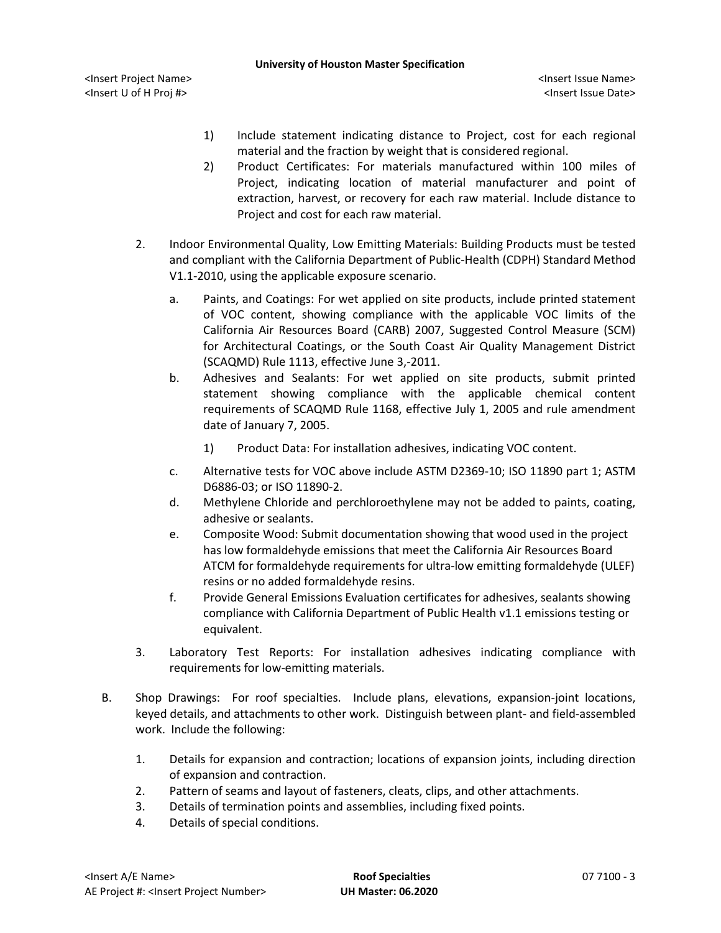- 1) Include statement indicating distance to Project, cost for each regional material and the fraction by weight that is considered regional.
- 2) Product Certificates: For materials manufactured within 100 miles of Project, indicating location of material manufacturer and point of extraction, harvest, or recovery for each raw material. Include distance to Project and cost for each raw material.
- 2. Indoor Environmental Quality, Low Emitting Materials: Building Products must be tested and compliant with the California Department of Public-Health (CDPH) Standard Method V1.1-2010, using the applicable exposure scenario.
	- a. Paints, and Coatings: For wet applied on site products, include printed statement of VOC content, showing compliance with the applicable VOC limits of the California Air Resources Board (CARB) 2007, Suggested Control Measure (SCM) for Architectural Coatings, or the South Coast Air Quality Management District (SCAQMD) Rule 1113, effective June 3,-2011.
	- b. Adhesives and Sealants: For wet applied on site products, submit printed statement showing compliance with the applicable chemical content requirements of SCAQMD Rule 1168, effective July 1, 2005 and rule amendment date of January 7, 2005.
		- 1) Product Data: For installation adhesives, indicating VOC content.
	- c. Alternative tests for VOC above include ASTM D2369-10; ISO 11890 part 1; ASTM D6886-03; or ISO 11890-2.
	- d. Methylene Chloride and perchloroethylene may not be added to paints, coating, adhesive or sealants.
	- e. Composite Wood: Submit documentation showing that wood used in the project has low formaldehyde emissions that meet the California Air Resources Board ATCM for formaldehyde requirements for ultra-low emitting formaldehyde (ULEF) resins or no added formaldehyde resins.
	- f. Provide General Emissions Evaluation certificates for adhesives, sealants showing compliance with California Department of Public Health v1.1 emissions testing or equivalent.
- 3. Laboratory Test Reports: For installation adhesives indicating compliance with requirements for low-emitting materials.
- B. Shop Drawings: For roof specialties. Include plans, elevations, expansion-joint locations, keyed details, and attachments to other work. Distinguish between plant- and field-assembled work. Include the following:
	- 1. Details for expansion and contraction; locations of expansion joints, including direction of expansion and contraction.
	- 2. Pattern of seams and layout of fasteners, cleats, clips, and other attachments.
	- 3. Details of termination points and assemblies, including fixed points.
	- 4. Details of special conditions.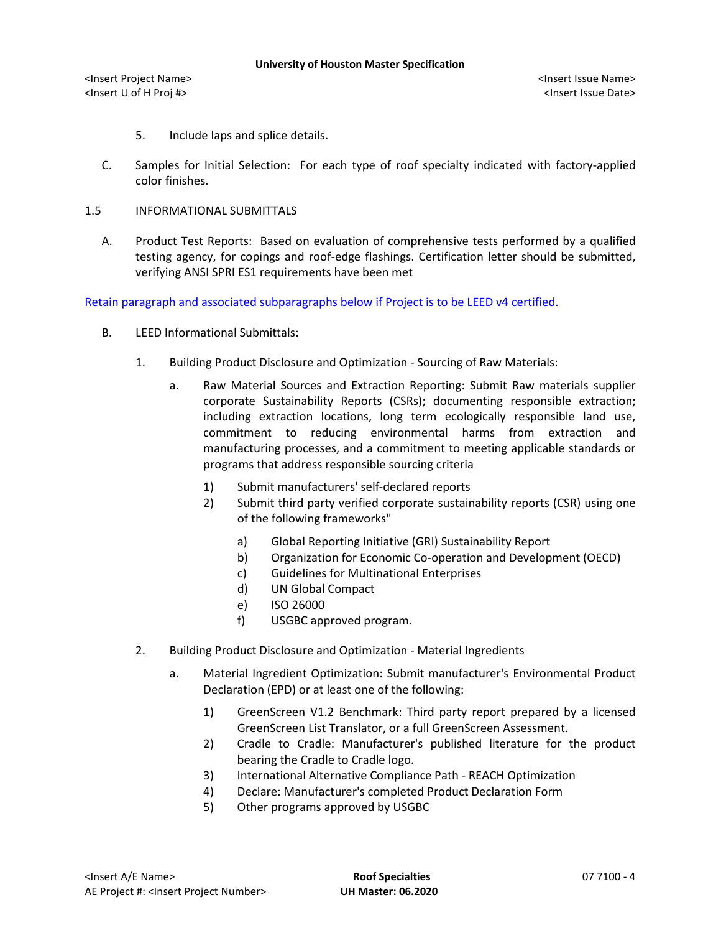- 5. Include laps and splice details.
- C. Samples for Initial Selection: For each type of roof specialty indicated with factory-applied color finishes.
- 1.5 INFORMATIONAL SUBMITTALS
	- A. Product Test Reports: Based on evaluation of comprehensive tests performed by a qualified testing agency, for copings and roof-edge flashings. Certification letter should be submitted, verifying ANSI SPRI ES1 requirements have been met

Retain paragraph and associated subparagraphs below if Project is to be LEED v4 certified.

- B. LEED Informational Submittals:
	- 1. Building Product Disclosure and Optimization Sourcing of Raw Materials:
		- a. Raw Material Sources and Extraction Reporting: Submit Raw materials supplier corporate Sustainability Reports (CSRs); documenting responsible extraction; including extraction locations, long term ecologically responsible land use, commitment to reducing environmental harms from extraction and manufacturing processes, and a commitment to meeting applicable standards or programs that address responsible sourcing criteria
			- 1) Submit manufacturers' self-declared reports
			- 2) Submit third party verified corporate sustainability reports (CSR) using one of the following frameworks"
				- a) Global Reporting Initiative (GRI) Sustainability Report
				- b) Organization for Economic Co-operation and Development (OECD)
				- c) Guidelines for Multinational Enterprises
				- d) UN Global Compact
				- e) ISO 26000
				- f) USGBC approved program.
	- 2. Building Product Disclosure and Optimization Material Ingredients
		- a. Material Ingredient Optimization: Submit manufacturer's Environmental Product Declaration (EPD) or at least one of the following:
			- 1) GreenScreen V1.2 Benchmark: Third party report prepared by a licensed GreenScreen List Translator, or a full GreenScreen Assessment.
			- 2) Cradle to Cradle: Manufacturer's published literature for the product bearing the Cradle to Cradle logo.
			- 3) International Alternative Compliance Path REACH Optimization
			- 4) Declare: Manufacturer's completed Product Declaration Form
			- 5) Other programs approved by USGBC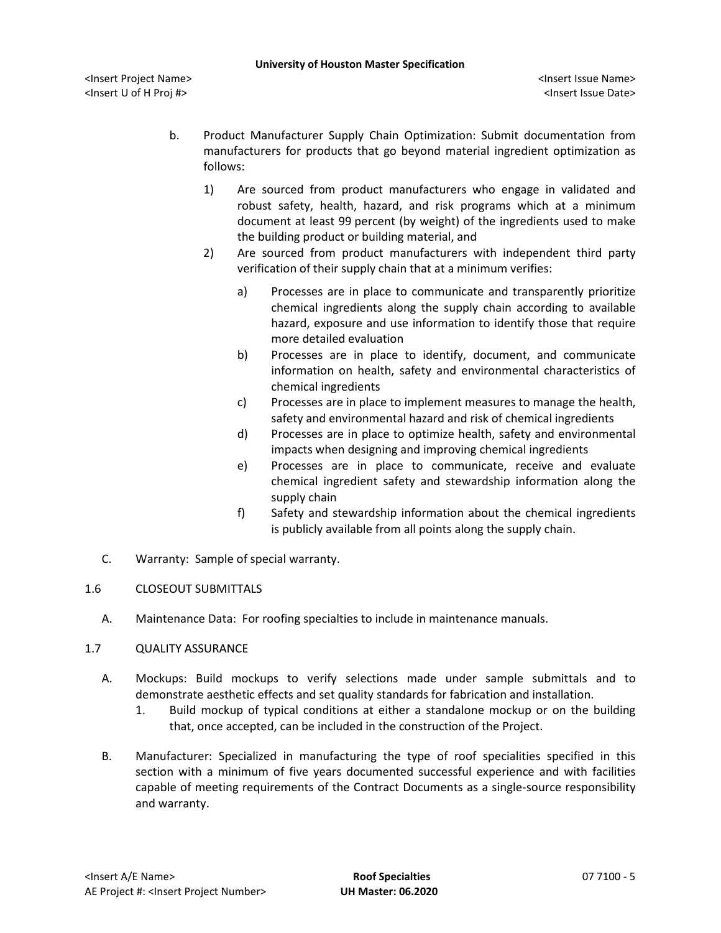- b. Product Manufacturer Supply Chain Optimization: Submit documentation from manufacturers for products that go beyond material ingredient optimization as follows:
	- 1) Are sourced from product manufacturers who engage in validated and robust safety, health, hazard, and risk programs which at a minimum document at least 99 percent (by weight) of the ingredients used to make the building product or building material, and
	- 2) Are sourced from product manufacturers with independent third party verification of their supply chain that at a minimum verifies:
		- a) Processes are in place to communicate and transparently prioritize chemical ingredients along the supply chain according to available hazard, exposure and use information to identify those that require more detailed evaluation
		- b) Processes are in place to identify, document, and communicate information on health, safety and environmental characteristics of chemical ingredients
		- c) Processes are in place to implement measures to manage the health, safety and environmental hazard and risk of chemical ingredients
		- d) Processes are in place to optimize health, safety and environmental impacts when designing and improving chemical ingredients
		- e) Processes are in place to communicate, receive and evaluate chemical ingredient safety and stewardship information along the supply chain
		- f) Safety and stewardship information about the chemical ingredients is publicly available from all points along the supply chain.
- C. Warranty: Sample of special warranty.
- 1.6 CLOSEOUT SUBMITTALS
	- A. Maintenance Data: For roofing specialties to include in maintenance manuals.
- 1.7 QUALITY ASSURANCE
	- A. Mockups: Build mockups to verify selections made under sample submittals and to demonstrate aesthetic effects and set quality standards for fabrication and installation.
		- 1. Build mockup of typical conditions at either a standalone mockup or on the building that, once accepted, can be included in the construction of the Project.
	- B. Manufacturer: Specialized in manufacturing the type of roof specialities specified in this section with a minimum of five years documented successful experience and with facilities capable of meeting requirements of the Contract Documents as a single-source responsibility and warranty.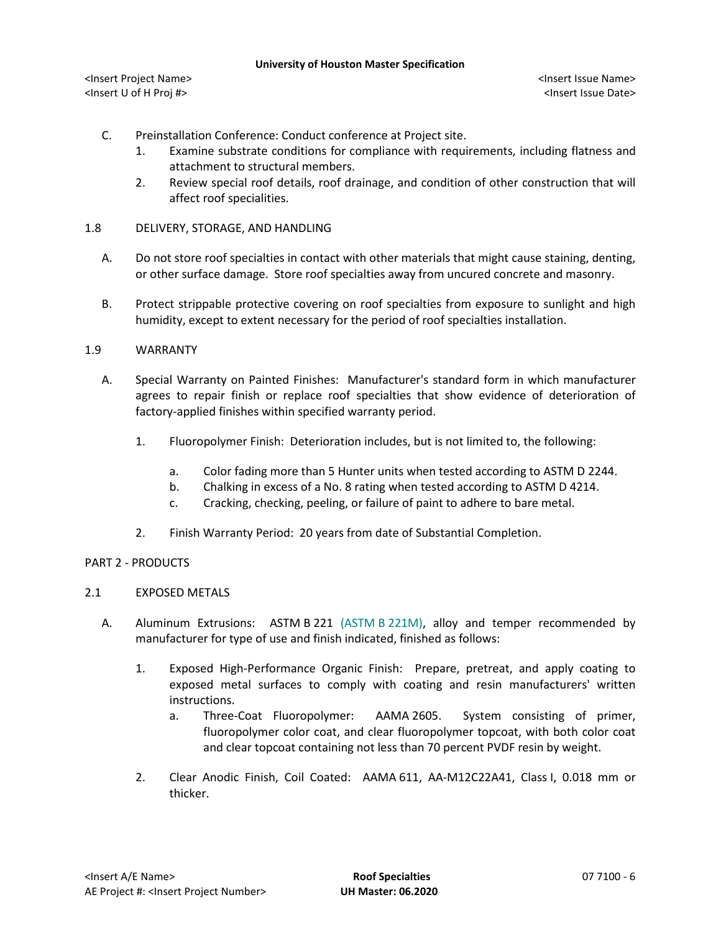- C. Preinstallation Conference: Conduct conference at Project site.
	- 1. Examine substrate conditions for compliance with requirements, including flatness and attachment to structural members.
	- 2. Review special roof details, roof drainage, and condition of other construction that will affect roof specialities.
- 1.8 DELIVERY, STORAGE, AND HANDLING
	- A. Do not store roof specialties in contact with other materials that might cause staining, denting, or other surface damage. Store roof specialties away from uncured concrete and masonry.
	- B. Protect strippable protective covering on roof specialties from exposure to sunlight and high humidity, except to extent necessary for the period of roof specialties installation.

## 1.9 WARRANTY

- A. Special Warranty on Painted Finishes: Manufacturer's standard form in which manufacturer agrees to repair finish or replace roof specialties that show evidence of deterioration of factory-applied finishes within specified warranty period.
	- 1. Fluoropolymer Finish: Deterioration includes, but is not limited to, the following:
		- a. Color fading more than 5 Hunter units when tested according to ASTM D 2244.
		- b. Chalking in excess of a No. 8 rating when tested according to ASTM D 4214.
		- c. Cracking, checking, peeling, or failure of paint to adhere to bare metal.
	- 2. Finish Warranty Period: 20 years from date of Substantial Completion.

### PART 2 - PRODUCTS

### 2.1 EXPOSED METALS

- A. Aluminum Extrusions: ASTM B 221 (ASTM B 221M), alloy and temper recommended by manufacturer for type of use and finish indicated, finished as follows:
	- 1. Exposed High-Performance Organic Finish: Prepare, pretreat, and apply coating to exposed metal surfaces to comply with coating and resin manufacturers' written instructions.
		- a. Three-Coat Fluoropolymer: AAMA 2605. System consisting of primer, fluoropolymer color coat, and clear fluoropolymer topcoat, with both color coat and clear topcoat containing not less than 70 percent PVDF resin by weight.
	- 2. Clear Anodic Finish, Coil Coated: AAMA 611, AA-M12C22A41, Class I, 0.018 mm or thicker.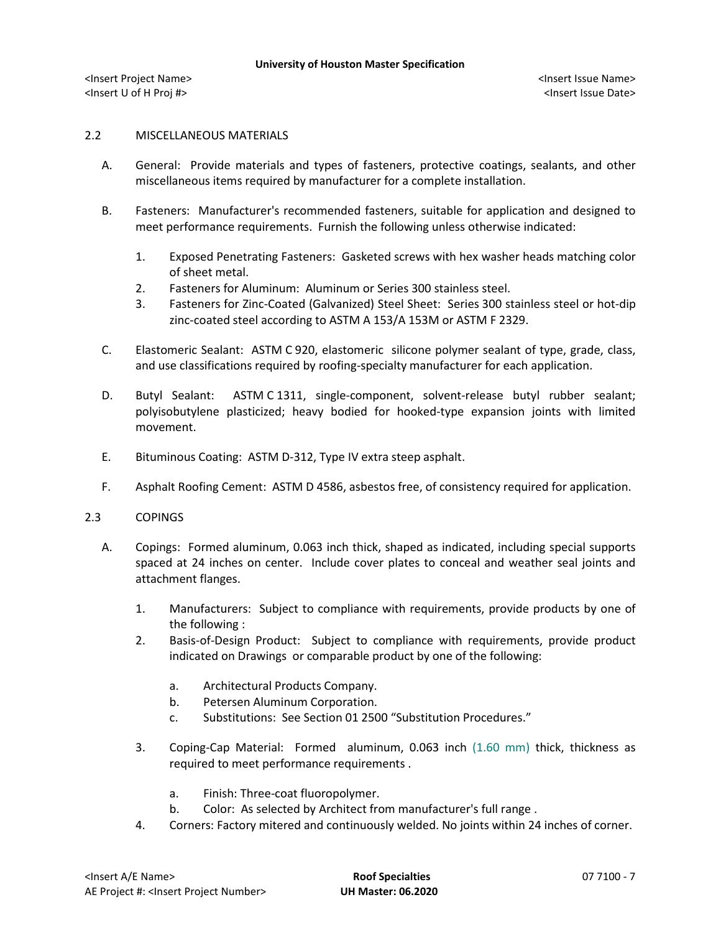# 2.2 MISCELLANEOUS MATERIALS

- A. General: Provide materials and types of fasteners, protective coatings, sealants, and other miscellaneous items required by manufacturer for a complete installation.
- B. Fasteners: Manufacturer's recommended fasteners, suitable for application and designed to meet performance requirements. Furnish the following unless otherwise indicated:
	- 1. Exposed Penetrating Fasteners: Gasketed screws with hex washer heads matching color of sheet metal.
	- 2. Fasteners for Aluminum: Aluminum or Series 300 stainless steel.
	- 3. Fasteners for Zinc-Coated (Galvanized) Steel Sheet: Series 300 stainless steel or hot-dip zinc-coated steel according to ASTM A 153/A 153M or ASTM F 2329.
- C. Elastomeric Sealant: ASTM C 920, elastomeric silicone polymer sealant of type, grade, class, and use classifications required by roofing-specialty manufacturer for each application.
- D. Butyl Sealant: ASTM C 1311, single-component, solvent-release butyl rubber sealant; polyisobutylene plasticized; heavy bodied for hooked-type expansion joints with limited movement.
- E. Bituminous Coating: ASTM D-312, Type IV extra steep asphalt.
- F. Asphalt Roofing Cement: ASTM D 4586, asbestos free, of consistency required for application.
- 2.3 COPINGS
	- A. Copings: Formed aluminum, 0.063 inch thick, shaped as indicated, including special supports spaced at 24 inches on center. Include cover plates to conceal and weather seal joints and attachment flanges.
		- 1. Manufacturers: Subject to compliance with requirements, provide products by one of the following :
		- 2. [Basis-of-Design Product:](http://www.specagent.com/LookUp/?ulid=5158&mf=04&src=wd) Subject to compliance with requirements, provide product indicated on Drawings or comparable product by one of the following:
			- a. [Architectural Products Company.](http://www.specagent.com/LookUp/?uid=123456801076&mf=04&src=wd)
			- b. [Petersen Aluminum Corporation.](http://www.specagent.com/LookUp/?uid=123456801088&mf=04&src=wd)
			- c. Substitutions: See Section 01 2500 "Substitution Procedures."
		- 3. Coping-Cap Material: Formed aluminum, 0.063 inch (1.60 mm) thick, thickness as required to meet performance requirements .
			- a. Finish: Three-coat fluoropolymer.
			- b. Color: As selected by Architect from manufacturer's full range .
		- 4. Corners: Factory mitered and continuously welded. No joints within 24 inches of corner.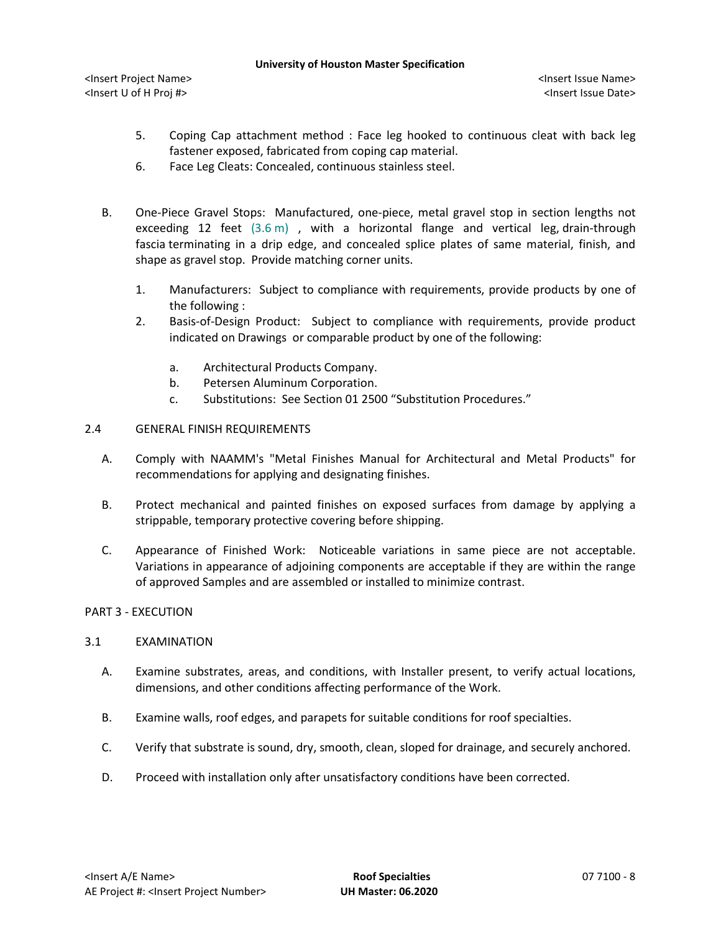- 5. Coping Cap attachment method : Face leg hooked to continuous cleat with back leg fastener exposed, fabricated from coping cap material.
- 6. Face Leg Cleats: Concealed, continuous stainless steel.
- B. One-Piece Gravel Stops: Manufactured, one-piece, metal gravel stop in section lengths not exceeding 12 feet (3.6 m) , with a horizontal flange and vertical leg, drain-through fascia terminating in a drip edge, and concealed splice plates of same material, finish, and shape as gravel stop. Provide matching corner units.
	- 1. Manufacturers: Subject to compliance with requirements, provide products by one of the following :
	- 2. [Basis-of-Design Product:](http://www.specagent.com/LookUp/?ulid=5162&mf=04&src=wd) Subject to compliance with requirements, provide product indicated on Drawings or comparable product by one of the following:
		- a. [Architectural Products Company.](http://www.specagent.com/LookUp/?uid=123456801107&mf=04&src=wd)
		- b. [Petersen Aluminum Corporation.](http://www.specagent.com/LookUp/?uid=123456801117&mf=04&src=wd)
		- c. Substitutions: See Section 01 2500 "Substitution Procedures."
- 2.4 GENERAL FINISH REQUIREMENTS
	- A. Comply with NAAMM's "Metal Finishes Manual for Architectural and Metal Products" for recommendations for applying and designating finishes.
	- B. Protect mechanical and painted finishes on exposed surfaces from damage by applying a strippable, temporary protective covering before shipping.
	- C. Appearance of Finished Work: Noticeable variations in same piece are not acceptable. Variations in appearance of adjoining components are acceptable if they are within the range of approved Samples and are assembled or installed to minimize contrast.

# PART 3 - EXECUTION

### 3.1 EXAMINATION

- A. Examine substrates, areas, and conditions, with Installer present, to verify actual locations, dimensions, and other conditions affecting performance of the Work.
- B. Examine walls, roof edges, and parapets for suitable conditions for roof specialties.
- C. Verify that substrate is sound, dry, smooth, clean, sloped for drainage, and securely anchored.
- D. Proceed with installation only after unsatisfactory conditions have been corrected.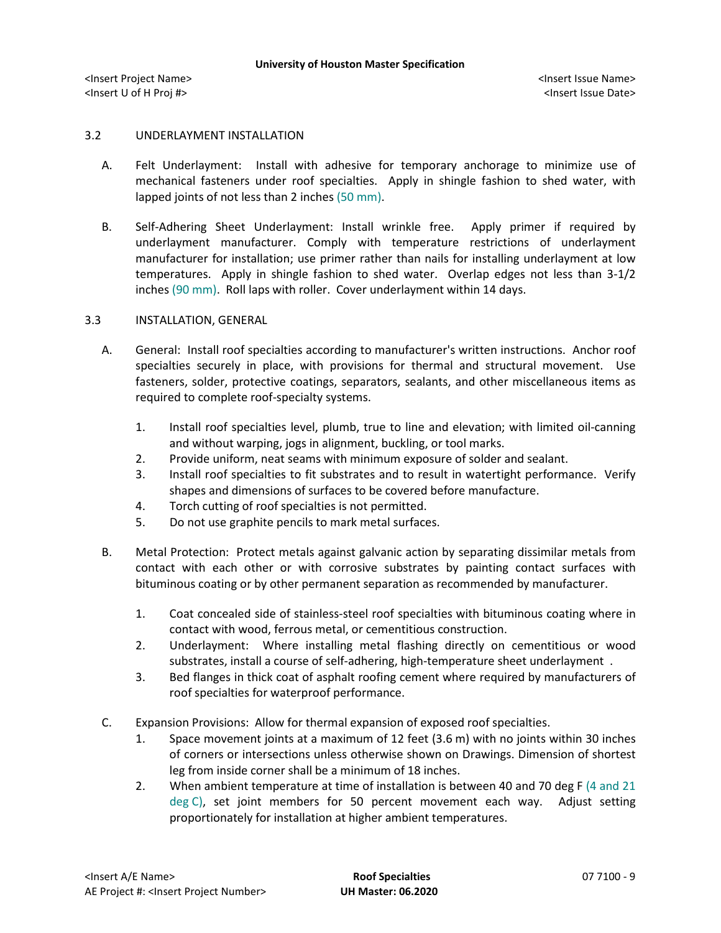# 3.2 UNDERLAYMENT INSTALLATION

- A. Felt Underlayment: Install with adhesive for temporary anchorage to minimize use of mechanical fasteners under roof specialties. Apply in shingle fashion to shed water, with lapped joints of not less than 2 inches (50 mm).
- B. Self-Adhering Sheet Underlayment: Install wrinkle free. Apply primer if required by underlayment manufacturer. Comply with temperature restrictions of underlayment manufacturer for installation; use primer rather than nails for installing underlayment at low temperatures. Apply in shingle fashion to shed water. Overlap edges not less than 3-1/2 inches (90 mm). Roll laps with roller. Cover underlayment within 14 days.

## 3.3 INSTALLATION, GENERAL

- A. General: Install roof specialties according to manufacturer's written instructions. Anchor roof specialties securely in place, with provisions for thermal and structural movement. Use fasteners, solder, protective coatings, separators, sealants, and other miscellaneous items as required to complete roof-specialty systems.
	- 1. Install roof specialties level, plumb, true to line and elevation; with limited oil-canning and without warping, jogs in alignment, buckling, or tool marks.
	- 2. Provide uniform, neat seams with minimum exposure of solder and sealant.
	- 3. Install roof specialties to fit substrates and to result in watertight performance. Verify shapes and dimensions of surfaces to be covered before manufacture.
	- 4. Torch cutting of roof specialties is not permitted.
	- 5. Do not use graphite pencils to mark metal surfaces.
- B. Metal Protection: Protect metals against galvanic action by separating dissimilar metals from contact with each other or with corrosive substrates by painting contact surfaces with bituminous coating or by other permanent separation as recommended by manufacturer.
	- 1. Coat concealed side of stainless-steel roof specialties with bituminous coating where in contact with wood, ferrous metal, or cementitious construction.
	- 2. Underlayment: Where installing metal flashing directly on cementitious or wood substrates, install a course of self-adhering, high-temperature sheet underlayment .
	- 3. Bed flanges in thick coat of asphalt roofing cement where required by manufacturers of roof specialties for waterproof performance.
- C. Expansion Provisions: Allow for thermal expansion of exposed roof specialties.
	- 1. Space movement joints at a maximum of 12 feet (3.6 m) with no joints within 30 inches of corners or intersections unless otherwise shown on Drawings. Dimension of shortest leg from inside corner shall be a minimum of 18 inches.
	- 2. When ambient temperature at time of installation is between 40 and 70 deg F (4 and 21 deg C), set joint members for 50 percent movement each way. Adjust setting proportionately for installation at higher ambient temperatures.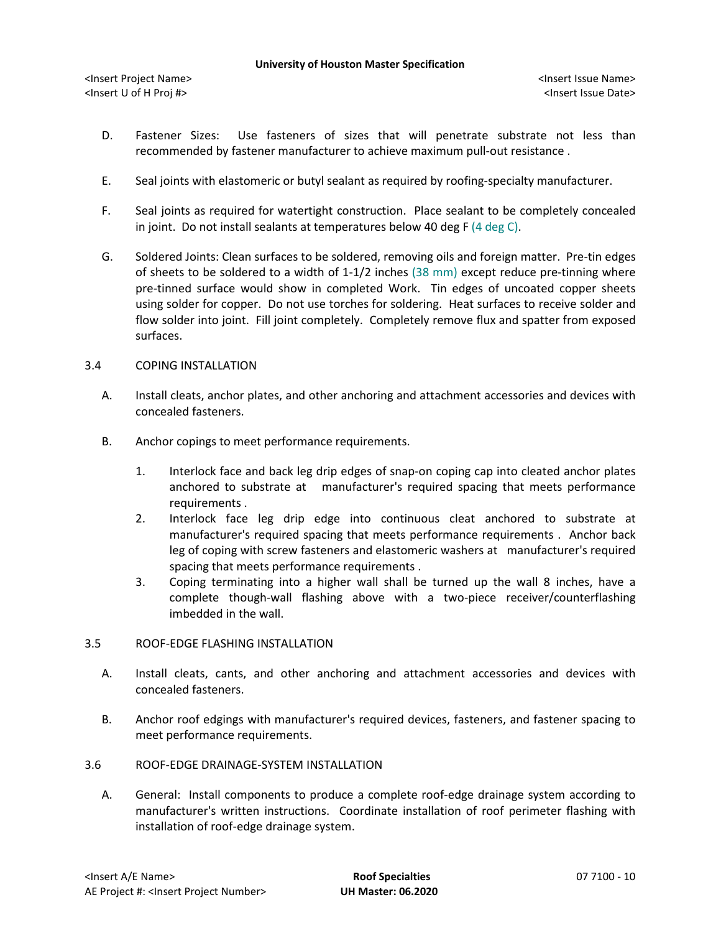- D. Fastener Sizes: Use fasteners of sizes that will penetrate substrate not less than recommended by fastener manufacturer to achieve maximum pull-out resistance .
- E. Seal joints with elastomeric or butyl sealant as required by roofing-specialty manufacturer.
- F. Seal joints as required for watertight construction. Place sealant to be completely concealed in joint. Do not install sealants at temperatures below 40 deg F (4 deg C).
- G. Soldered Joints: Clean surfaces to be soldered, removing oils and foreign matter. Pre-tin edges of sheets to be soldered to a width of 1-1/2 inches (38 mm) except reduce pre-tinning where pre-tinned surface would show in completed Work. Tin edges of uncoated copper sheets using solder for copper. Do not use torches for soldering. Heat surfaces to receive solder and flow solder into joint. Fill joint completely. Completely remove flux and spatter from exposed surfaces.

## 3.4 COPING INSTALLATION

- A. Install cleats, anchor plates, and other anchoring and attachment accessories and devices with concealed fasteners.
- B. Anchor copings to meet performance requirements.
	- 1. Interlock face and back leg drip edges of snap-on coping cap into cleated anchor plates anchored to substrate at manufacturer's required spacing that meets performance requirements .
	- 2. Interlock face leg drip edge into continuous cleat anchored to substrate at manufacturer's required spacing that meets performance requirements . Anchor back leg of coping with screw fasteners and elastomeric washers at manufacturer's required spacing that meets performance requirements .
	- 3. Coping terminating into a higher wall shall be turned up the wall 8 inches, have a complete though-wall flashing above with a two-piece receiver/counterflashing imbedded in the wall.

### 3.5 ROOF-EDGE FLASHING INSTALLATION

- A. Install cleats, cants, and other anchoring and attachment accessories and devices with concealed fasteners.
- B. Anchor roof edgings with manufacturer's required devices, fasteners, and fastener spacing to meet performance requirements.
- 3.6 ROOF-EDGE DRAINAGE-SYSTEM INSTALLATION
	- A. General: Install components to produce a complete roof-edge drainage system according to manufacturer's written instructions. Coordinate installation of roof perimeter flashing with installation of roof-edge drainage system.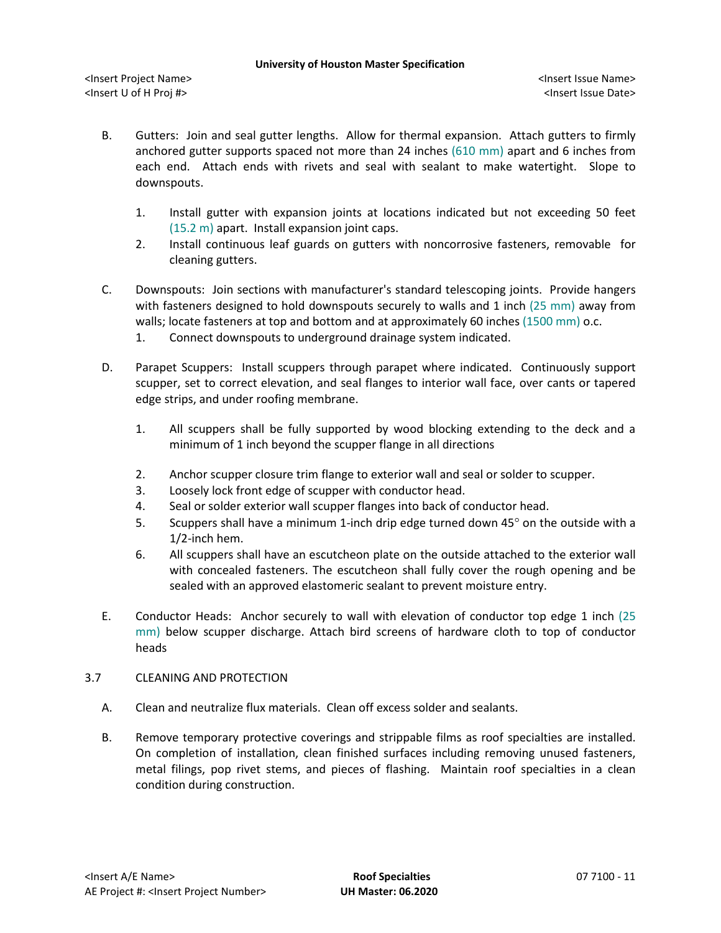- B. Gutters: Join and seal gutter lengths. Allow for thermal expansion. Attach gutters to firmly anchored gutter supports spaced not more than 24 inches (610 mm) apart and 6 inches from each end. Attach ends with rivets and seal with sealant to make watertight. Slope to downspouts.
	- 1. Install gutter with expansion joints at locations indicated but not exceeding 50 feet (15.2 m) apart. Install expansion joint caps.
	- 2. Install continuous leaf guards on gutters with noncorrosive fasteners, removable for cleaning gutters.
- C. Downspouts: Join sections with manufacturer's standard telescoping joints. Provide hangers with fasteners designed to hold downspouts securely to walls and 1 inch (25 mm) away from walls; locate fasteners at top and bottom and at approximately 60 inches (1500 mm) o.c.
	- 1. Connect downspouts to underground drainage system indicated.
- D. Parapet Scuppers: Install scuppers through parapet where indicated. Continuously support scupper, set to correct elevation, and seal flanges to interior wall face, over cants or tapered edge strips, and under roofing membrane.
	- 1. All scuppers shall be fully supported by wood blocking extending to the deck and a minimum of 1 inch beyond the scupper flange in all directions
	- 2. Anchor scupper closure trim flange to exterior wall and seal or solder to scupper.
	- 3. Loosely lock front edge of scupper with conductor head.
	- 4. Seal or solder exterior wall scupper flanges into back of conductor head.
	- 5. Scuppers shall have a minimum 1-inch drip edge turned down 45° on the outside with a 1/2-inch hem.
	- 6. All scuppers shall have an escutcheon plate on the outside attached to the exterior wall with concealed fasteners. The escutcheon shall fully cover the rough opening and be sealed with an approved elastomeric sealant to prevent moisture entry.
- E. Conductor Heads: Anchor securely to wall with elevation of conductor top edge 1 inch (25 mm) below scupper discharge. Attach bird screens of hardware cloth to top of conductor heads

### 3.7 CLEANING AND PROTECTION

- A. Clean and neutralize flux materials. Clean off excess solder and sealants.
- B. Remove temporary protective coverings and strippable films as roof specialties are installed. On completion of installation, clean finished surfaces including removing unused fasteners, metal filings, pop rivet stems, and pieces of flashing. Maintain roof specialties in a clean condition during construction.